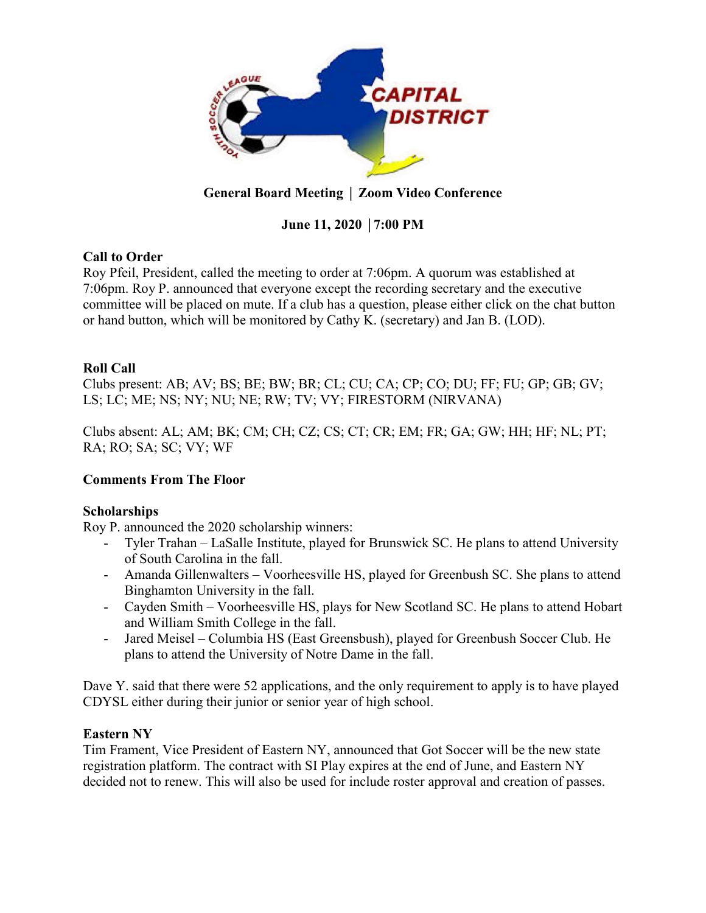

# **General Board Meeting** │ **Zoom Video Conference**

# **June 11, 2020** │**7:00 PM**

# **Call to Order**

Roy Pfeil, President, called the meeting to order at 7:06pm. A quorum was established at 7:06pm. Roy P. announced that everyone except the recording secretary and the executive committee will be placed on mute. If a club has a question, please either click on the chat button or hand button, which will be monitored by Cathy K. (secretary) and Jan B. (LOD).

# **Roll Call**

Clubs present: AB; AV; BS; BE; BW; BR; CL; CU; CA; CP; CO; DU; FF; FU; GP; GB; GV; LS; LC; ME; NS; NY; NU; NE; RW; TV; VY; FIRESTORM (NIRVANA)

Clubs absent: AL; AM; BK; CM; CH; CZ; CS; CT; CR; EM; FR; GA; GW; HH; HF; NL; PT; RA; RO; SA; SC; VY; WF

# **Comments From The Floor**

# **Scholarships**

Roy P. announced the 2020 scholarship winners:

- Tyler Trahan LaSalle Institute, played for Brunswick SC. He plans to attend University of South Carolina in the fall.
- Amanda Gillenwalters Voorheesville HS, played for Greenbush SC. She plans to attend Binghamton University in the fall.
- Cayden Smith Voorheesville HS, plays for New Scotland SC. He plans to attend Hobart and William Smith College in the fall.
- Jared Meisel Columbia HS (East Greensbush), played for Greenbush Soccer Club. He plans to attend the University of Notre Dame in the fall.

Dave Y. said that there were 52 applications, and the only requirement to apply is to have played CDYSL either during their junior or senior year of high school.

## **Eastern NY**

Tim Frament, Vice President of Eastern NY, announced that Got Soccer will be the new state registration platform. The contract with SI Play expires at the end of June, and Eastern NY decided not to renew. This will also be used for include roster approval and creation of passes.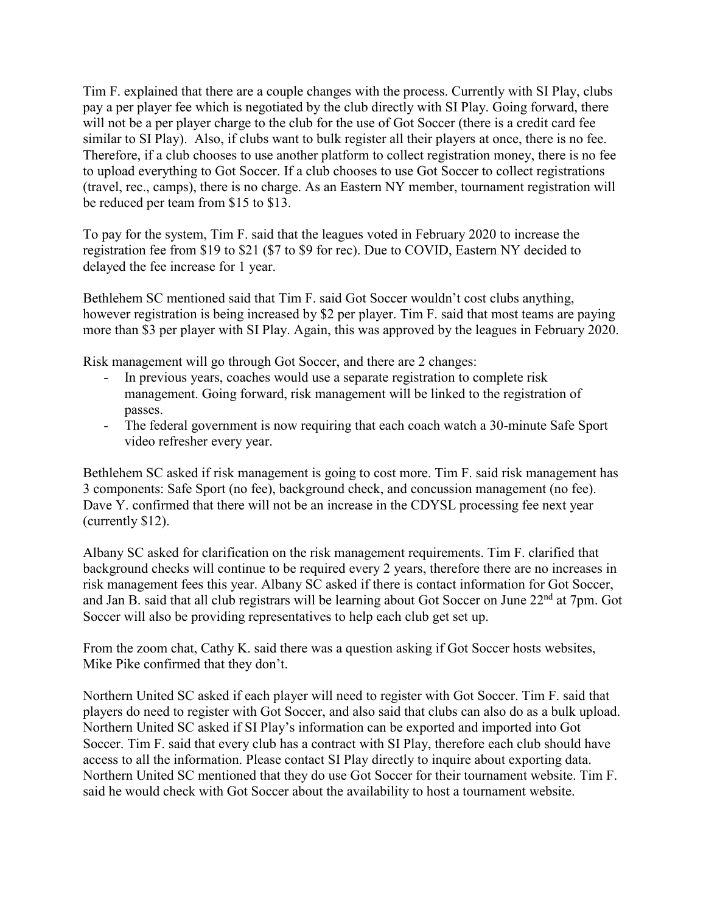Tim F. explained that there are a couple changes with the process. Currently with SI Play, clubs pay a per player fee which is negotiated by the club directly with SI Play. Going forward, there will not be a per player charge to the club for the use of Got Soccer (there is a credit card fee similar to SI Play). Also, if clubs want to bulk register all their players at once, there is no fee. Therefore, if a club chooses to use another platform to collect registration money, there is no fee to upload everything to Got Soccer. If a club chooses to use Got Soccer to collect registrations (travel, rec., camps), there is no charge. As an Eastern NY member, tournament registration will be reduced per team from \$15 to \$13.

To pay for the system, Tim F. said that the leagues voted in February 2020 to increase the registration fee from \$19 to \$21 (\$7 to \$9 for rec). Due to COVID, Eastern NY decided to delayed the fee increase for 1 year.

Bethlehem SC mentioned said that Tim F. said Got Soccer wouldn't cost clubs anything, however registration is being increased by \$2 per player. Tim F. said that most teams are paying more than \$3 per player with SI Play. Again, this was approved by the leagues in February 2020.

Risk management will go through Got Soccer, and there are 2 changes:

- In previous years, coaches would use a separate registration to complete risk management. Going forward, risk management will be linked to the registration of passes.
- The federal government is now requiring that each coach watch a 30-minute Safe Sport video refresher every year.

Bethlehem SC asked if risk management is going to cost more. Tim F. said risk management has 3 components: Safe Sport (no fee), background check, and concussion management (no fee). Dave Y. confirmed that there will not be an increase in the CDYSL processing fee next year (currently \$12).

Albany SC asked for clarification on the risk management requirements. Tim F. clarified that background checks will continue to be required every 2 years, therefore there are no increases in risk management fees this year. Albany SC asked if there is contact information for Got Soccer, and Jan B. said that all club registrars will be learning about Got Soccer on June 22<sup>nd</sup> at 7pm. Got Soccer will also be providing representatives to help each club get set up.

From the zoom chat, Cathy K. said there was a question asking if Got Soccer hosts websites, Mike Pike confirmed that they don't.

Northern United SC asked if each player will need to register with Got Soccer. Tim F. said that players do need to register with Got Soccer, and also said that clubs can also do as a bulk upload. Northern United SC asked if SI Play's information can be exported and imported into Got Soccer. Tim F. said that every club has a contract with SI Play, therefore each club should have access to all the information. Please contact SI Play directly to inquire about exporting data. Northern United SC mentioned that they do use Got Soccer for their tournament website. Tim F. said he would check with Got Soccer about the availability to host a tournament website.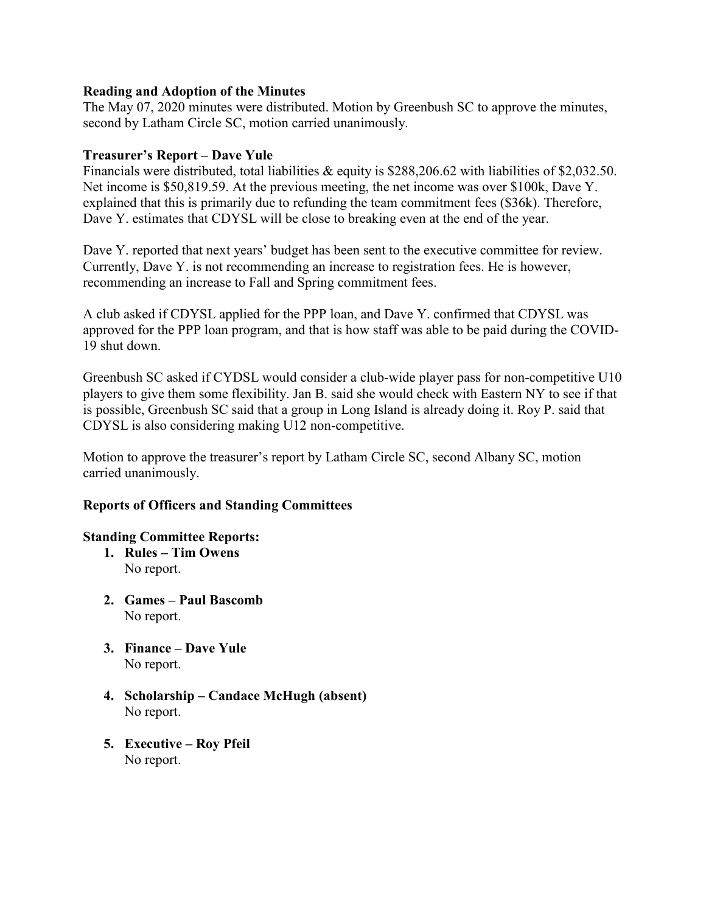## **Reading and Adoption of the Minutes**

The May 07, 2020 minutes were distributed. Motion by Greenbush SC to approve the minutes, second by Latham Circle SC, motion carried unanimously.

## **Treasurer's Report – Dave Yule**

Financials were distributed, total liabilities & equity is \$288,206.62 with liabilities of \$2,032.50. Net income is \$50,819.59. At the previous meeting, the net income was over \$100k, Dave Y. explained that this is primarily due to refunding the team commitment fees (\$36k). Therefore, Dave Y. estimates that CDYSL will be close to breaking even at the end of the year.

Dave Y. reported that next years' budget has been sent to the executive committee for review. Currently, Dave Y. is not recommending an increase to registration fees. He is however, recommending an increase to Fall and Spring commitment fees.

A club asked if CDYSL applied for the PPP loan, and Dave Y. confirmed that CDYSL was approved for the PPP loan program, and that is how staff was able to be paid during the COVID-19 shut down.

Greenbush SC asked if CYDSL would consider a club-wide player pass for non-competitive U10 players to give them some flexibility. Jan B. said she would check with Eastern NY to see if that is possible, Greenbush SC said that a group in Long Island is already doing it. Roy P. said that CDYSL is also considering making U12 non-competitive.

Motion to approve the treasurer's report by Latham Circle SC, second Albany SC, motion carried unanimously.

# **Reports of Officers and Standing Committees**

# **Standing Committee Reports:**

- **1. Rules – Tim Owens** No report.
- **2. Games – Paul Bascomb** No report.
- **3. Finance – Dave Yule** No report.
- **4. Scholarship – Candace McHugh (absent)** No report.
- **5. Executive – Roy Pfeil** No report.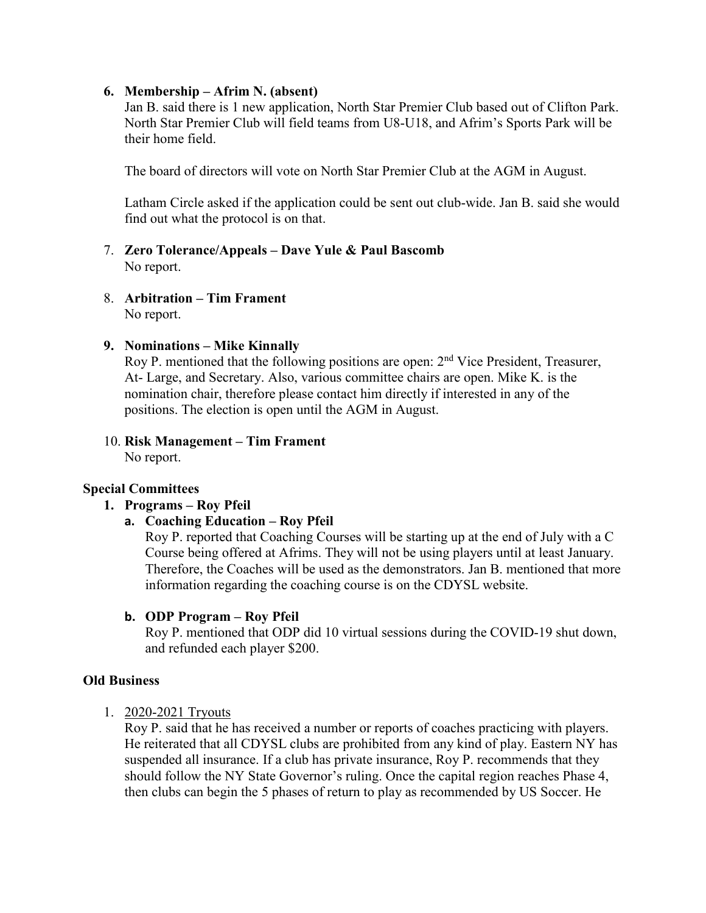## **6. Membership – Afrim N. (absent)**

Jan B. said there is 1 new application, North Star Premier Club based out of Clifton Park. North Star Premier Club will field teams from U8-U18, and Afrim's Sports Park will be their home field.

The board of directors will vote on North Star Premier Club at the AGM in August.

Latham Circle asked if the application could be sent out club-wide. Jan B. said she would find out what the protocol is on that.

## 7. **Zero Tolerance/Appeals – Dave Yule & Paul Bascomb** No report.

8. **Arbitration – Tim Frament** No report.

## **9. Nominations – Mike Kinnally**

Roy P. mentioned that the following positions are open: 2<sup>nd</sup> Vice President, Treasurer, At- Large, and Secretary. Also, various committee chairs are open. Mike K. is the nomination chair, therefore please contact him directly if interested in any of the positions. The election is open until the AGM in August.

#### 10. **Risk Management – Tim Frament**  No report.

# **Special Committees**

## **1. Programs – Roy Pfeil**

**a. Coaching Education – Roy Pfeil**

Roy P. reported that Coaching Courses will be starting up at the end of July with a C Course being offered at Afrims. They will not be using players until at least January. Therefore, the Coaches will be used as the demonstrators. Jan B. mentioned that more information regarding the coaching course is on the CDYSL website.

## **b. ODP Program – Roy Pfeil**

Roy P. mentioned that ODP did 10 virtual sessions during the COVID-19 shut down, and refunded each player \$200.

## **Old Business**

1. 2020-2021 Tryouts

Roy P. said that he has received a number or reports of coaches practicing with players. He reiterated that all CDYSL clubs are prohibited from any kind of play. Eastern NY has suspended all insurance. If a club has private insurance, Roy P. recommends that they should follow the NY State Governor's ruling. Once the capital region reaches Phase 4, then clubs can begin the 5 phases of return to play as recommended by US Soccer. He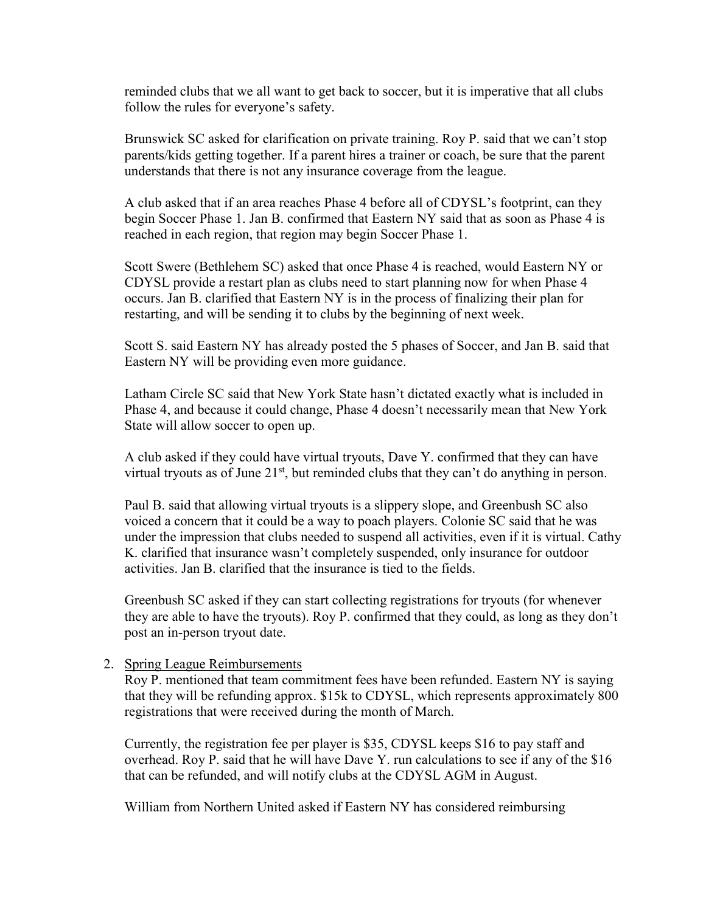reminded clubs that we all want to get back to soccer, but it is imperative that all clubs follow the rules for everyone's safety.

Brunswick SC asked for clarification on private training. Roy P. said that we can't stop parents/kids getting together. If a parent hires a trainer or coach, be sure that the parent understands that there is not any insurance coverage from the league.

A club asked that if an area reaches Phase 4 before all of CDYSL's footprint, can they begin Soccer Phase 1. Jan B. confirmed that Eastern NY said that as soon as Phase 4 is reached in each region, that region may begin Soccer Phase 1.

Scott Swere (Bethlehem SC) asked that once Phase 4 is reached, would Eastern NY or CDYSL provide a restart plan as clubs need to start planning now for when Phase 4 occurs. Jan B. clarified that Eastern NY is in the process of finalizing their plan for restarting, and will be sending it to clubs by the beginning of next week.

Scott S. said Eastern NY has already posted the 5 phases of Soccer, and Jan B. said that Eastern NY will be providing even more guidance.

Latham Circle SC said that New York State hasn't dictated exactly what is included in Phase 4, and because it could change, Phase 4 doesn't necessarily mean that New York State will allow soccer to open up.

A club asked if they could have virtual tryouts, Dave Y. confirmed that they can have virtual tryouts as of June  $21<sup>st</sup>$ , but reminded clubs that they can't do anything in person.

Paul B. said that allowing virtual tryouts is a slippery slope, and Greenbush SC also voiced a concern that it could be a way to poach players. Colonie SC said that he was under the impression that clubs needed to suspend all activities, even if it is virtual. Cathy K. clarified that insurance wasn't completely suspended, only insurance for outdoor activities. Jan B. clarified that the insurance is tied to the fields.

Greenbush SC asked if they can start collecting registrations for tryouts (for whenever they are able to have the tryouts). Roy P. confirmed that they could, as long as they don't post an in-person tryout date.

## 2. Spring League Reimbursements

Roy P. mentioned that team commitment fees have been refunded. Eastern NY is saying that they will be refunding approx. \$15k to CDYSL, which represents approximately 800 registrations that were received during the month of March.

Currently, the registration fee per player is \$35, CDYSL keeps \$16 to pay staff and overhead. Roy P. said that he will have Dave Y. run calculations to see if any of the \$16 that can be refunded, and will notify clubs at the CDYSL AGM in August.

William from Northern United asked if Eastern NY has considered reimbursing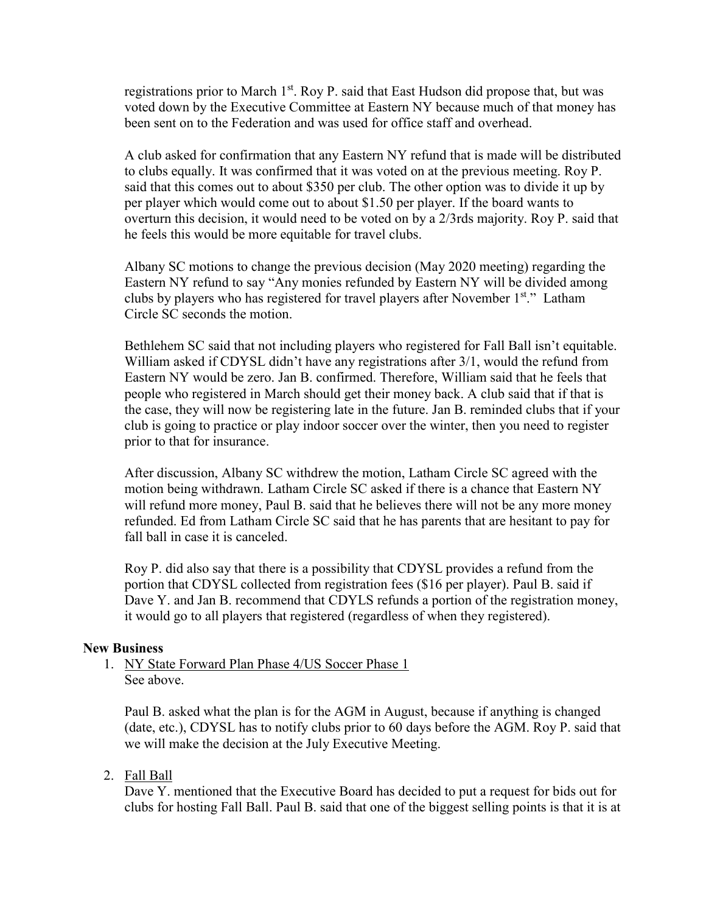registrations prior to March 1st. Roy P. said that East Hudson did propose that, but was voted down by the Executive Committee at Eastern NY because much of that money has been sent on to the Federation and was used for office staff and overhead.

A club asked for confirmation that any Eastern NY refund that is made will be distributed to clubs equally. It was confirmed that it was voted on at the previous meeting. Roy P. said that this comes out to about \$350 per club. The other option was to divide it up by per player which would come out to about \$1.50 per player. If the board wants to overturn this decision, it would need to be voted on by a 2/3rds majority. Roy P. said that he feels this would be more equitable for travel clubs.

Albany SC motions to change the previous decision (May 2020 meeting) regarding the Eastern NY refund to say "Any monies refunded by Eastern NY will be divided among clubs by players who has registered for travel players after November 1st." Latham Circle SC seconds the motion.

Bethlehem SC said that not including players who registered for Fall Ball isn't equitable. William asked if CDYSL didn't have any registrations after 3/1, would the refund from Eastern NY would be zero. Jan B. confirmed. Therefore, William said that he feels that people who registered in March should get their money back. A club said that if that is the case, they will now be registering late in the future. Jan B. reminded clubs that if your club is going to practice or play indoor soccer over the winter, then you need to register prior to that for insurance.

After discussion, Albany SC withdrew the motion, Latham Circle SC agreed with the motion being withdrawn. Latham Circle SC asked if there is a chance that Eastern NY will refund more money, Paul B. said that he believes there will not be any more money refunded. Ed from Latham Circle SC said that he has parents that are hesitant to pay for fall ball in case it is canceled.

Roy P. did also say that there is a possibility that CDYSL provides a refund from the portion that CDYSL collected from registration fees (\$16 per player). Paul B. said if Dave Y. and Jan B. recommend that CDYLS refunds a portion of the registration money, it would go to all players that registered (regardless of when they registered).

## **New Business**

1. NY State Forward Plan Phase 4/US Soccer Phase 1 See above.

Paul B. asked what the plan is for the AGM in August, because if anything is changed (date, etc.), CDYSL has to notify clubs prior to 60 days before the AGM. Roy P. said that we will make the decision at the July Executive Meeting.

2. Fall Ball

Dave Y. mentioned that the Executive Board has decided to put a request for bids out for clubs for hosting Fall Ball. Paul B. said that one of the biggest selling points is that it is at